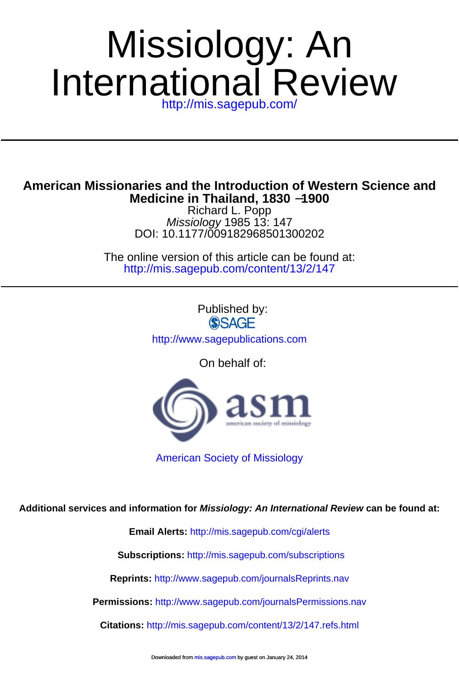# <http://mis.sagepub.com/> International Review Missiology: An

### DOI: 10.1177/009182968501300202 Missiology [1985 13: 147](http://www.asmweb.org/content/home) Richard L. Popp **Medicine in Thailand, 1830** −**1900 American Missionaries and the Introduction of Western Science and**

<http://mis.sagepub.com/content/13/2/147> The online version of this article can be found at:

Published by:<br>
SAGE

<http://www.sagepublications.com>

[On behalf of:](http://mis.sagepub.com/cgi/alerts)



[American Society of Missiology](http://www.asmweb.org/content/home)

**Additional services and information for Missiology: An International Review can be found at:**

**Email Alerts:** <http://mis.sagepub.com/cgi/alerts>

**Subscriptions:** <http://mis.sagepub.com/subscriptions>

**Reprints:** <http://www.sagepub.com/journalsReprints.nav>

**Permissions:** <http://www.sagepub.com/journalsPermissions.nav>

**Citations:** <http://mis.sagepub.com/content/13/2/147.refs.html>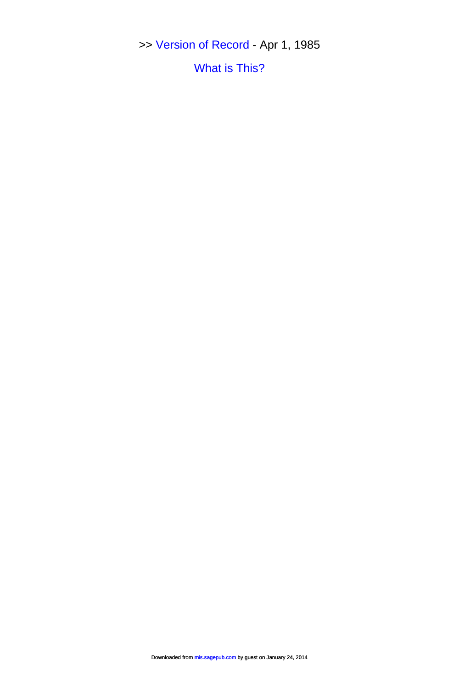>> [Version of Record -](http://mis.sagepub.com/content/13/2/147.full.pdf) Apr 1, 1985

[What is This?](http://online.sagepub.com/site/sphelp/vorhelp.xhtml)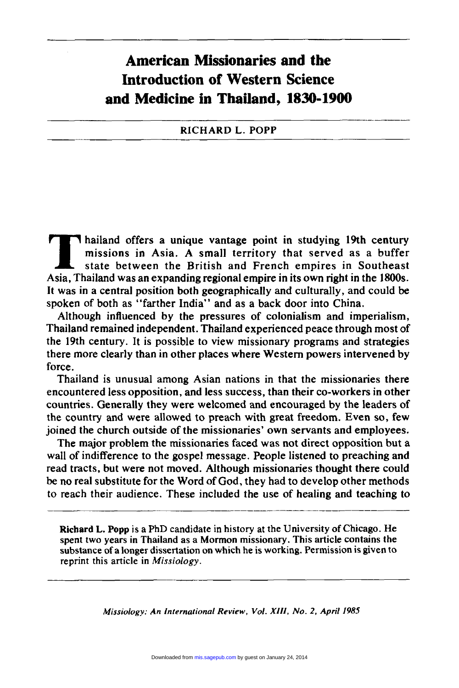## **American Missionaries and the Introduction of Western Science and Medicine in Thailand, 1830-1900**

**T** hailand offers a unique vantage point in studying 19th century missions in Asia. A small territory that served as a buffer state between the British and French empires in Southeast Asia, Thailand was an expanding regional empire in its own right in the **1800s.**  It was in a central position both geographically and culturally, and could be spoken of both as "farther India" and as a back door into China.

Although influenced by the pressures of colonialism and imperialism, Thailand remained independent. Thailand experienced peace through most of the 19th century. It is possible to view missionary programs and strategies there more clearly than in other places where Western powers intervened by force.

Thailand is unusual among Asian nations in that the missionaries there encountered less opposition, and less success, than their co-workers in other countries. Generally they were welcomed and encouraged by the leaders of the country and were allowed to preach with great freedom. Even so, few joined the church outside of the missionaries' own servants and employees.

The major problem the missionaries faced was not direct opposition but a wall of indifference to the gospel message. People listened to preaching and read tracts, but were not moved. Although missionaries thought there could be no real substitute for the Word of God, they had to develop other methods to reach their audience. These included the use of healing and teaching to

**Richard** L. Popp **is** a PhD candidate in history at the University of Chicago. He spent two years in Thailand as a **Mormon** missionary. This article contains the substance ofa longer dissertation on which he is working. Permission is given **to**  reprint this article in Missiology.

*Missiology: An International Review, Vol. XIII, No. 2, April 1985*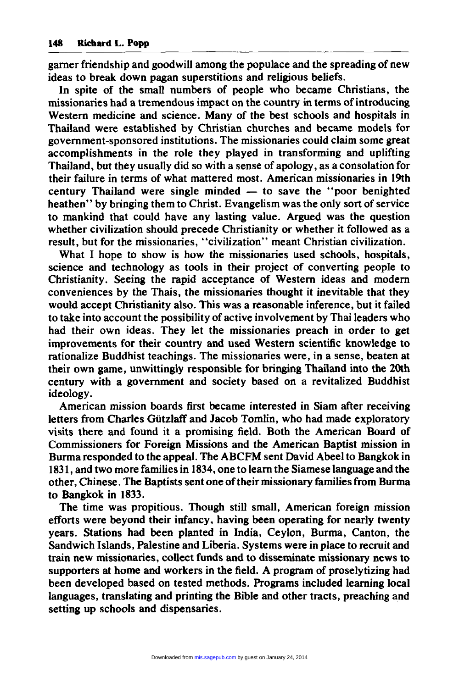gamer friendship and goodwill among the populace and the spreading of new ideas to break down pagan superstitions and religious beliefs.

In spite of the small numbers of people who became Christians, the missionaries had a tremendous impact on the country in terms of introducing Western medicine and science. Many of the best schools and hospitals in Thailand were established by Christian churches and became models for government-sponsored institutions. The missionaries could claim some great accomplishments in the role they played in transforming and uplifting Thailand, but they usually did so with a sense of apology, as a consolation for their failure in terms of what mattered most. American missionaries in 19th Thailand, but they usually did so with a sense of apology, as a consolation for<br>their failure in terms of what mattered most. American missionaries in 19th<br>century Thailand were single minded — to save the "poor benighted<br> heathen" by bringing them to Christ. Evangelism was the only sort of service to mankind that could have any lasting value. Argued was the question whether civilization should precede Christianity or whether it followed as a result, but for the missionaries, "civilization" meant Christian civilization.

What I hope to show is how the missionaries used schools, hospitals, science and technology as tools in their project of converting people to Christianity. Seeing the rapid acceptance of Western ideas and modem conveniences by the Thais, the missionaries thought it inevitable that they would accept Christianity **also.** This was a reasonable inference, but it failed to take into account the possibility of active involvement by Thai leaders who had their own ideas. They let the missionaries preach in order to get improvements for their country and used Western scientific knowledge to rationalize Buddhist teachings. The missionaries were, in a sense, beaten at their own game, unwittingly responsible for bringing Thailand into the 20th century with a government and society based on a revitalized Buddhist ideology.

American mission boards first became interested in Siam after receiving letters from Charles Gutzlaf€ and Jacob Tomlin, who had made exploratory visits there and found it a promising field. Both the American Board of Commissioners for Foreign Missions and the American Baptist mission in Burma responded to the appeal. The ABCFM sent David Abeel to Bangkok in **183 1,** and two more families in **1834,** one to learn the Siamese language and the other, Chinese. The Baptists sent one of their missionary families from Burma to Bangkok in **1833.** 

The time was propitious. Though still small, American foreign mission efforts were beyond their infancy, having been operating for nearly twenty years. Stations had been planted in India, Ceylon, Burma, Canton, the Sandwich Islands, Palestine and Liberia. Systems were in place to recruit and train new missionaries, collect funds and to disseminate missionary news to supporters at home and workers in the field. A program of proselytizing had been developed based on tested methods. Programs included learning local languages, translating and printing the Bible and other tracts, preaching and setting up schools and dispensaries.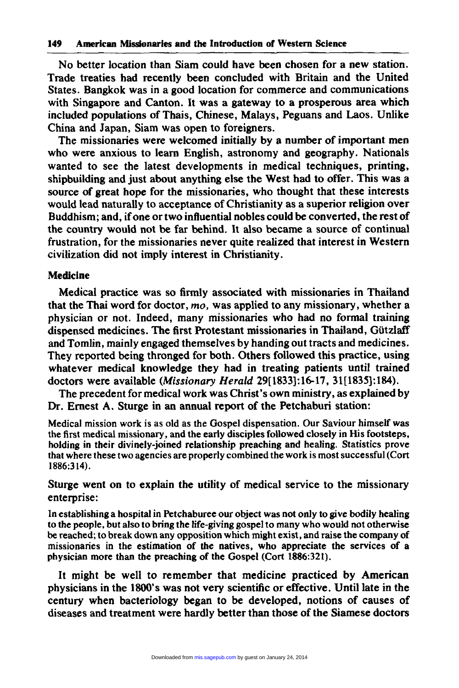**No** better location than Siam could have been chosen for a new station. Trade treaties had recently been concluded with Britain and the United States. Bangkok was in a good location for commerce and communications with Singapore and Canton. It was **a** gateway to a prosperous area which included populations of Thais, Chinese, Malays, Peguans and **Laos.** Unlike China and Japan, Siam was open to foreigners.

The missionaries were welcomed initially by **a** number of important men who were anxious to learn English, astronomy and geography. Nationals wanted to see the latest developments in medical techniques, printing, shipbuilding and just about anything else the West had to offer. This was a source of great hope for the missionaries, who thought that these interests would lead naturally to acceptance of Christianity **as** a superior religion over Buddhism; and, if one or two influential nobles could **be** converted, the rest of the country would not be far behind. It **also** became a source of continual frustration, for the missionaries never quite realized that interest in Western civilization did not imply interest in Christianity.

#### **Medicine**

Medical practice was **so** firmly associated with missionaries in Thailand that the Thai word for doctor, *mo,* was applied to any missionary, whether a physician or not. Indeed, many missionaries who had no formal training dispensed medicines. The first Protestant missionaries in Thailand, Gutzlaff and Tomlin, mainly engaged themselves by handing out tracts and medicines. They reported being thronged for **both.** Others followed this practice, using whatever medical knowledge they had in treating patients until trained doctors were available *(Missionary* Herald **29[ 18331: 1617, 31** [ **18351: 184).** 

The precedent for medical work was Christ's own ministry, **as** explained by Dr. Ernest **A.** Sturge in an annual report of the Petchaburi station:

Medical mission work is as old as the Gospel dispensation. Our Saviour himself was the first medical missionary, and the early disciples followed closely in His footsteps, holding in their divinely-joined relationship preaching and healing. Statistics prove that where these two agencies are properly combined the work is most successful **(Con 1886:3 14).** 

#### Sturge went on to explain the utility of medical service to the missionary enterprise:

In establishing a hospital in Petchaburee our object was not only to give bodily healing to the people, but also to bring the life-giving gospel to many who would not otherwise be reached; to break down any opposition which might exist, and raise the company **of**  missionaries in the estimation of the natives, who appreciate **the** services of a physician more than the preaching of the Gospel **(Cort 1886:321).** 

It might be well to remember that medicine practiced by American physicians in the **1800's** was not very scientific or effective. Until late in the century when bacteriology began to be developed, notions of causes of diseases and treatment were hardly better tha[n those](http://mis.sagepub.com/) *of* the Siamese doctors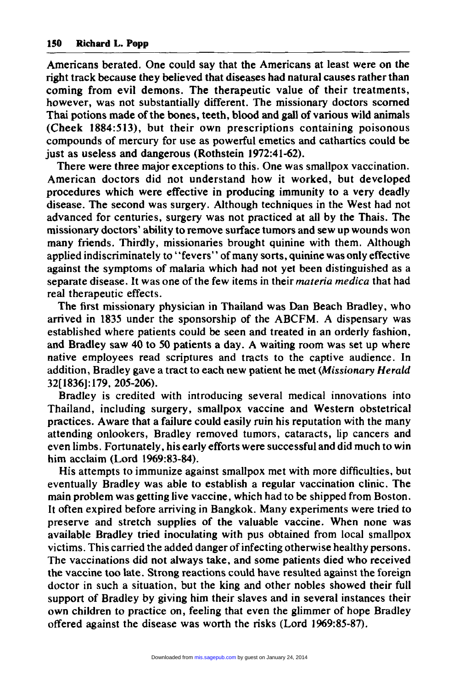Americans berated. One could say that the Americans at least were **on** the right track because they believed that diseases had natural causes rather than coming from evil demons. The therapeutic value of their treatments, however, was not substantially different. The missionary doctors scorned Thai potions made of the bones, teeth, blood and gall of various wild animals (Cheek **1884:513),** but their own prescriptions containing poisonous compounds of mercury for use as powerful emetics and cathartics could be just as useless and dangerous (Rothstein **1972:41-62).** 

There were three major exceptions to this. One was smallpox vaccination. American doctors did not understand how it worked, but developed procedures which were effective in producing immunity to a very deadly disease. The second was surgery. Although techniques in the West had not advanced for centuries, surgery was not practiced at all by the Thais. The missionary doctors' ability to remove surface tumors and sew up wounds won many friends. Thirdly, missionaries brought quinine with them. Although applied indiscriminately to "fevers" of many **sorts,** quinine was only effective against the symptoms of malaria which had not yet been distinguished as a separate disease. It was one of the few items in their *mareria medica* that had real therapeutic effects .

The first missionary physician in Thailand was Dan Beach Bradley, who arrived in **1835** under the sponsorship of the ABCFM. **A** dispensary was established where patients could be seen and treated in an orderly fashion, and Bradley saw **40** to *50* patients a day. A waiting room was set up where native employees read scriptures and tracts to the captive audience. In addition, Bradley gave a tract to each new patient he met *(Missionary Herald*  **32[1836]: 179, 205-206).** 

Bradley is credited with introducing several medical innovations into Thailand, including surgery, smallpox vaccine and Western obstetrical practices. Aware that a failure could easily ruin his reputation with the many attending onlookers, Bradley removed tumors, cataracts, lip cancers and even limbs. Fortunately, his early efforts were successful and did much to win him acclaim (Lord 1969:83-84).

His attempts **to** immunize against smallpox met with more difficulties, but eventually Bradley was able to establish a regular vaccination clinic. The main problem was getting live vaccine, which had to be shipped from Boston. It often expired before arriving in Bangkok. Many experiments were tried to preserve and stretch supplies of the valuable vaccine. When none was available Bradley tried inoculating with pus obtained from local smallpox victims. This carried the added danger of infecting otherwise healthy persons. The vaccinations did not always take, and some patients died who received the vaccine too late. Strong reactions could have resulted against the foreign doctor in such a situation, but the king and other nobles showed their full support of Bradley by giving him their slaves and in several instances their own children to practice on, feeling that even the glimmer of hope Bradley offered against the disease was worth the ris[ks \(Lord](http://mis.sagepub.com/) **1%9:85-87).**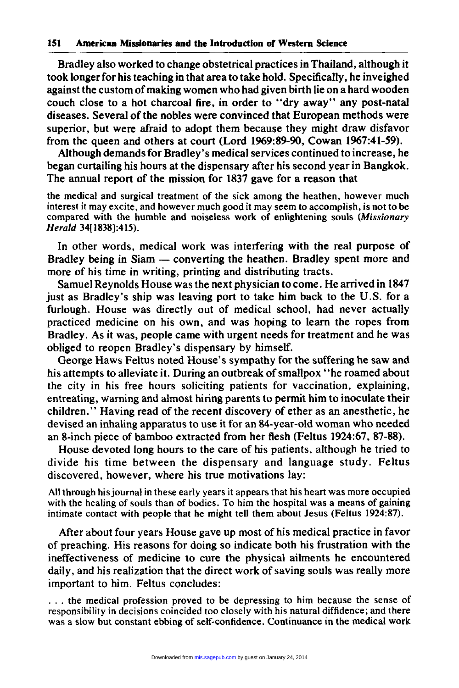Bradley also worked to change obstetrical practices in Thailand, although it took longerfor his teaching in that area to take hold. Specifically, he inveighed against the custom of making women who had given birth lie on a hard wooden couch close to a hot charcoal fire, in order to "dry away" any post-natal diseases. Several of the nobles were convinced that European methods were superior, but were afraid to adopt them because they might draw disfavor from the queen and others at court (Lord 1969:89-90, Cowan 1967:41-59).

Although demands for Bradley's medical services continued to increase, he began curtailing his hours at the dispensary after his second year in Bangkok. The annual report of the mission for **1837** gave for a reason that

the medical and surgical treatment of the sick among the heathen, however much interest it may excite, and however much good it may seem to accomplish, is not to be compared with the humble and noiseless work of enlightening souls *(Missionary*  Herald **34[ 1838]:4 15).** 

In other words, medical work was interfering with the real purpose of Bradley being in Siam — converting the heathen. Bradley spent more and more of his time in writing, printing and distributing tracts.

Samuel Reynolds House was the next physician **to** come. He arrived in 1847 just as Bradley's ship was leaving port to take him back to the U.S. for a furlough. House was directly out of medical school, had never actually practiced medicine on his own, and was hoping to learn the ropes from Bradley. **As** it was, people came with urgent needs for treatment and he was obliged to reopen Bradley's dispensary by himself.

George Haws Feltus noted House's sympathy **for** the suffering he saw and his attempts to alleviate it. During an outbreak of smallpox "he roamed about the city in his free hours soliciting patients for vaccination, explaining, entreating, warning and almost hiring parents to permit him to inoculate their children." Having read of the recent discovery of ether as an anesthetic, he devised an inhaling apparatus to use it for an 84-year-old woman who needed an 8-inch piece of bamboo extracted from her flesh (Feltus 1924:67, 87-88).

House devoted long hours to the care of his patients, although he tried to divide his time between the dispensary and language study. Feltus discovered, however, where his true motivations lay:

All through his journal in these early years it appears that his heart was more occupied with the healing of souls than of bodies. To him the hospital was a means of gaining intimate contact with people that he might tell them about Jesus (Feltus **1924:87).** 

After about four years House gave up most of his medical practice in favor of preaching. His reasons for doing so indicate both his frustration with the ineffectiveness of medicine to cure the physical ailments he encountered daily, and his realization that the direct work of saving souls was really more important to him. Feltus concludes:

. . . the medical profession proved to be depressing to him because the sense of responsibility in decisions coincided too closely with his natural diffidence; and there was a slow but constant ebbing of self-confidence. [Continuanc](http://mis.sagepub.com/)e in the medical **work**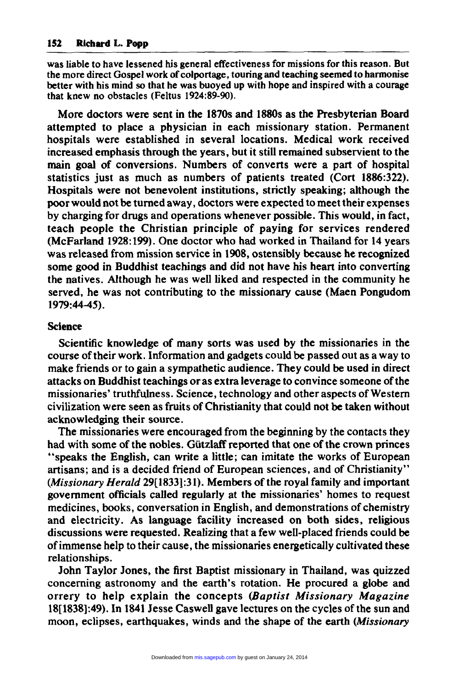**was liable to have lessened his general effectiveness for missions for this reason. But the more direct Gospel work of colportage, touring and teaching seemed to harmonise better with his mind** *so* **that he was buoyed up with hope and inspired with a courage that knew no obstacles (Feltus 1924:89-90).** 

More doctors were sent in the **1870s** and **1880s** as the Presbyterian Board attempted to place a physician in each missionary station. Permanent hospitals were established in several locations. Medical work received increased emphasis through the years, but it still remained subservient to the main **goal** of conversions. Numbers of converts were a part of hospital statistics just as much as numbers of patients treated (Cort **1886:322).**  Hospitals were not benevolent institutions, strictly speaking; although the poor would not be turned away, doctors were expected to meet their expenses by charging for drugs and operations whenever possible. This would, in fact, teach people the Christian principle of paying for services rendered (McFarland **1928: 199).** One doctor who had worked in Thailand for **14** years was released from mission service in **1908,** ostensibly because he recognized some **good** in Buddhist teachings and did not have his heart into converting the natives. Although he was well liked and respected in the community he served, he was not contributing to the missionary cause (Maen Pongudom **19B:444).** 

#### **Science**

Scientific knowledge of many sorts was used by the missionaries in the course of their work. Information and gadgets could be passed out **as** a way to make friends or to gain a sympathetic audience. They could be used in direct attacks on Buddhist teachings oras extra leverage to convince someone of the missionaries' truthfulness. Science, technology and other aspects of Western civilization were seen as fruits of Christianity that could not **be** taken without acknowledging their source.

The missionaries were encouraged from the beginning by the contacts they had with some of the nobles. Gützlaff reported that one of the crown princes "speaks the English, can write a little; can imitate the works of European artisans; and is a decided friend of European sciences, and of Christianity" *(Missionary Herald* **29[18331:31).** Members of the royal family and important government officials called regularly at the missionaries' homes to request medicines, books, conversation in English, and demonstrations of chemistry and electricity. **As** language facility increased on both sides, religious discussions were requested. Realizing that a few well-placed friends could be of immense help to their cause, the missionaries energetically cultivated these relationships.

John Taylor Jones, the first Baptist missionary in Thailand, was quizzed concerning astronomy and the earth's rotation. He procured a globe and orrery to help explain the concepts *(Baprisr Missionary Magazine*  **18[1838]:49).** In **1841** Jesse Caswell gave lectures on the cycles of the sun and moon, eclipses, earthquakes, winds and the s[hape of th](http://mis.sagepub.com/)e earth *(Missionary*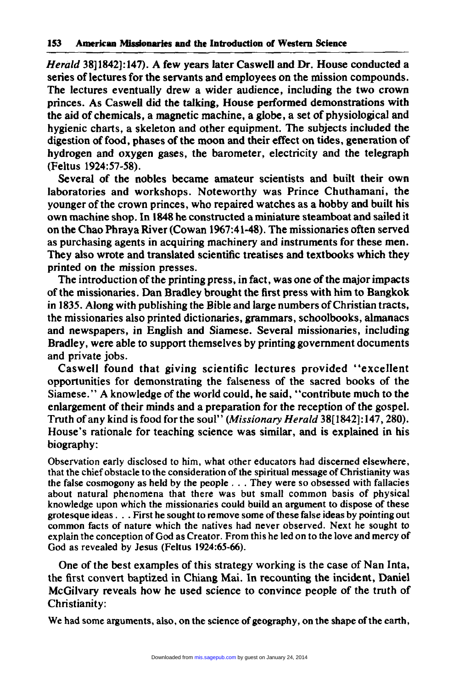*Herald* **381 18421: 147).** A few years later Caswell and **Dr.** House conducted a series of lectures for the servants and employees on the mission compounds. The lectures eventually drew a wider audience, including the two crown princes. As Caswell did the talking, House performed demonstrations with the aid of chemicals, a magnetic machine, a globe, a set of physiological and hygienic charts, a skeleton and other equipment. The subjects included the digestion of food, phases of the moon and their effect on tides, generation of hydrogen and oxygen gases, the barometer, electricity and the telegraph (Feltus **1924: 57-58).** 

Several of the nobles became amateur scientists and built their own laboratories and workshops. Noteworthy was Prince Chuthamani, the younger of the crown princes, who repaired watches as a hobby and built his own machine shop. In **1848** he constructed a miniature steamboat and sailed it on the Chao Phraya River (Cowan **1%7:41-48).** The missionaries often served as purchasing agents in acquiring machinery and instruments for these men. They **also** wrote and translated scientific treatises and textbooks which they printed on the mission presses.

The introduction of the printing press, in fact, was one of the major impacts of the missionaries. Dan Bradley brought the first press with him to Bangkok in **1835.** Along with publishing the Bible and large numbers of Christian tracts, the missionaries also printed dictionaries, grammars, schoolbooks, almanacs and newspapers, in English and Siamese. Several missionaries, including Bradley, were able to support themselves by printing government documents and private jobs.

Caswell found that giving scientific lectures provided "excellent opportunities for demonstrating the falseness of the sacred books of the Siamese." **A** knowledge of the world could, he said, "contribute much to the enlargement of their minds and a preparation for the reception of the gospel. Truth of any kind is food for the soul" *(Missionary Herald* **38[1842]: 147,280).**  House's rationale for teaching science was similar, and is explained in his biography:

Observation early disclosed to him, what other educators had discerned elsewhere, that the chief obstacle to the consideration of the spiritual message of Christianity was the false cosmogony as held by the people , . . They were **so** obsessed with fallacies about natural phenomena that there was but small common basis of physical knowledge upon which the missionaries could build an argument to dispose of these grotesque ideas. . . First he sought *to* remove some of these false ideas by pointing out common facts of nature which the natives had never observed. Next he sought to explain the conception of *God* as Creator. From this he led **on** to the love and mercy of *God* as revealed by Jesus (Feltus **1924:65-66).** 

One of the best examples of this strategy working is the case of Nan Inta, the first convert baptized in Chiang Mai. In recounting the incident, Daniel McGilvary reveals how he used science to convince people of the truth of Christianity:

We had some arguments, also, on the science of geo[graphy, on](http://mis.sagepub.com/) the shape of the earth,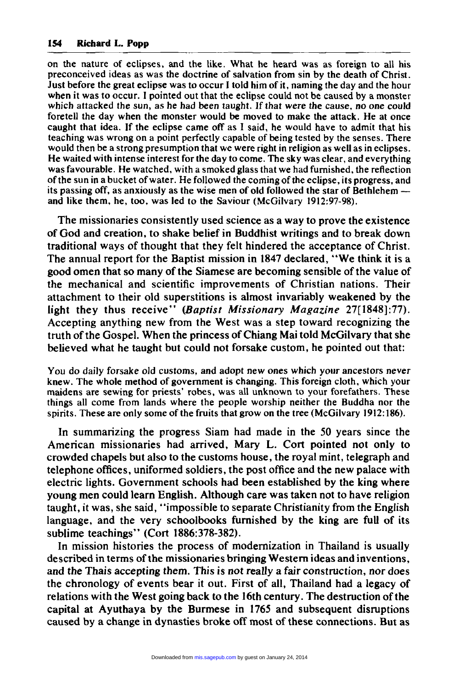on the nature of eclipses, and the like. What he heard was as foreign to all his preconceived ideas as was the doctrine of salvation from sin by the death of Christ. Just before the great eclipse was to occur I told him of it, naming the day and the hour when it was to occur. I pointed out that the eclipse could not be caused by a monster which attacked the sun, as he had been taught. If that were the cause, no one could foretell the day when the monster would be moved to make the attack. He at once caught that idea. If the eclipse came **off** as I said, he would have to admit that his teaching was wrong on a point perfectly capable of being tested by the senses. There would then be a strong presumption that we were right in religion as well as in eclipses. He waited with intense interest for the day to come. The sky was clear, and everything was favourable. He watched, with a smoked glass that we had furnished, the reflection was favourable. He watched, with a smoked glass that we had furnished, the reflection<br>of the sun in a bucket of water. He followed the coming of the eclipse, its progress, and<br>its passing off, as anxiously as the wise men and like them, he, too, was led to the Saviour (McGilvary **1912:97-98).** 

The missionaries consistently used science as a way to prove the existence of God and creation, to shake belief in Buddhist writings and to break down traditional ways of thought that they felt hindered the acceptance of Christ. The annual report for the Baptist mission in 1847 declared, "We think it is a good omen that so many of the Siamese are becoming sensible of the value of the mechanical and scientific improvements of Christian nations. Their attachment to their old superstitions is almost invariably weakened by the light they thus receive" *(Baptist Missionary Magazine 27*[1848]:77). Accepting anything new from the West was a step toward recognizing the truth of the Gospel. When the princess of Chiang Mai told McGilvary that she believed what he taught but could not forsake custom, he pointed out that:

You do daily forsake old customs, and adopt new ones which **your** ancestors never knew. The whole method of government is changing. This foreign cloth, which your maidens are sewing for priests' robes, was all unknown to your forefathers. These things all come from lands where the people worship neither the Buddha nor the spirits. These are only some of the fruits that grow on the tree (McGilvary **1912:186).** 

In summarizing the progress Siam had made in the **50** years since the American missionaries had arrived, Mary L. Cort pointed not only to crowded chapels but also to the customs house, the royal mint, telegraph and telephone offices, uniformed soldiers, the post office and the new palace with electric lights. Government schools had been established by the king where young men could learn English. Although care was taken not to have religion taught, it was, she said, "impossible to separate Christianity from the English language, and the very schoolbooks furnished by the king are full of its sublime teachings" **(Cort** 1886:378-382).

In mission histories the process of modernization in Thailand is usually described in terms of the missionaries bringing Western ideas and inventions, and the Thais accepting them. This is not really a fair construction, nor does the chronology of events bear it out. First of all, Thailand had a legacy of relations with the West going back to the 16th century. The destruction of the capital at Ayuthaya by the Burmese in 1765 and subsequent disruptions caused by a change in dynasties broke off mo[st of these](http://mis.sagepub.com/) connections. But as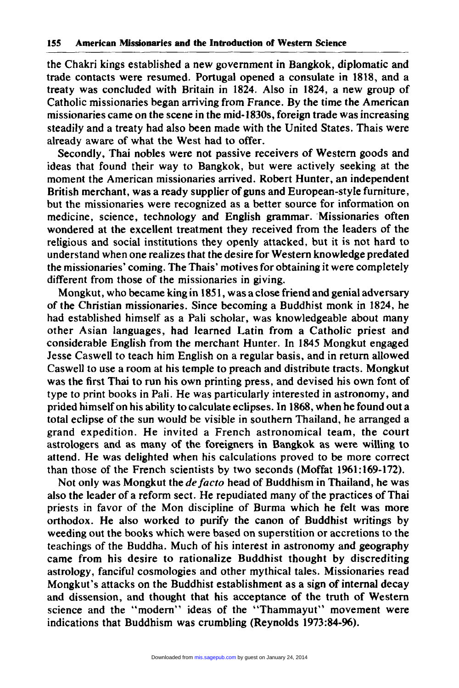the Chakri kings established a new government in Bangkok, diplomatic and trade contacts were resumed. Portugal opened a consulate in **1818,** and a treaty was concluded with Britain in **1824.** Also in **1824,** a new group of Catholic missionaries began arriving from France. By the time the American missionaries came on the scene in the mid-I **830s,** foreign trade was increasing steadily and a treaty had also been made with the United States. Thais were already aware of what the West had to offer.

Secondly, Thai nobles were not passive receivers of Western goods and ideas that found their way to Bangkok, but were actively seeking at the moment the American missionaries arrived. **Robert** Hunter, an independent British merchant, was a ready supplier of guns and European-style furniture, but the missionaries were recognized as a better source for information on medicine, science, technology and English grammar. 'Missionaries often wondered at the excellent treatment they received from the leaders of the religious and social institutions they openly attacked, but it is not hard to understand when one realizes that the desire for Western knowledge predated the missionaries' coming. The Thais' motives for obtaining it were completely different from those of the missionaries in giving.

Mongkut , who became king in **185 1,** was a close friend and genial adversary of the Christian missionaries. Since becoming a Buddhist monk in **1824,** he had established himself as a Pali scholar, was knowledgeable about many other Asian languages, had learned Latin from a Catholic priest and considerable English from the merchant Hunter. In **1845** Mongkut engaged Jesse Caswell to teach him English on a regular basis, and in return allowed Caswell to use a room at his temple to preach and distribute tracts. Mongkut was the first Thai to run his own printing press, and devised his own font of type to print books in Pali. He was particularly interested in astronomy, and prided himself on his ability to calculate eclipses. **In 1868,** when he found out a total eclipse of the sun would **be** visible in southern Thailand, he arranged a grand expedition. He invited a French astronomical team, the court astrologers and as many of the foreigners in **Bangkok** as were willing to attend. He was delighted when his calculations proved to be more correct than those of the French scientists by two seconds (Moffat **1961:169-172).** 

Not only was Mongkut the *defucro* head of Buddhism in Thailand, he was also the leader of a reform sect. He repudiated many of the practices of Thai priests in favor of the Mon discipline of Burma which he felt was more orthodox. He also worked to purify the canon of Buddhist writings by weeding out the books which were based on superstition or accretions to the teachings of the Buddha. Much of his interest in astronomy and geography came from his desire to rationalize Buddhist thought by discrediting astrology, fanciful cosmologies and other mythical tales. Missionaries read Mongkut's attacks on the Buddhist establishment as a sign of internal decay and dissension, and thought that his acceptance of the truth of Western science and the "modern" ideas of the "Thammayut" movement were indications that Buddhism was crumbling (Re[ynolds](http://mis.sagepub.com/) **1973:84-96).**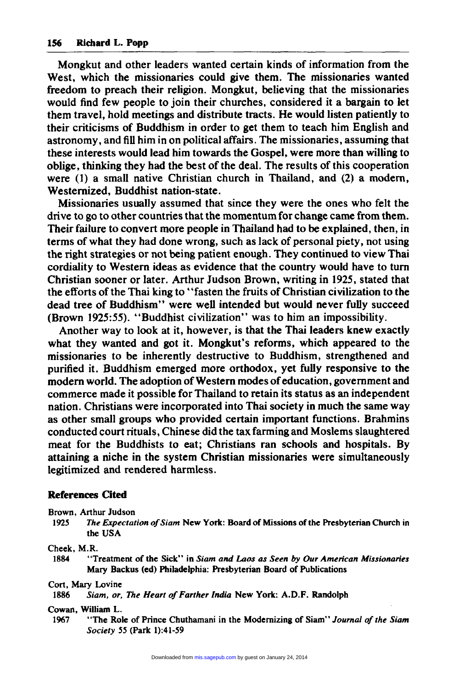Mongkut and other leaders wanted certain kinds of information from the West, which the missionaries could give them. The missionaries wanted freedom to preach their religion. Mongkut, believing that the missionaries would find few people to join their churches, considered it a bargain to let them travel, hold meetings and distribute tracts. He would listen patiently to their criticisms of Buddhism in order to get them to teach him English and astronomy, and **fill** him in on political affairs. The missionaries, assuming that these interests would lead him towards the Gospel, were more than willing to oblige, thinking they had the best of the deal. The results of this cooperation were **(1) a** small native Christian church in Thailand, and **(2)** a modem, Westernized, Buddhist nation-state.

Missionaries usually assumed that since they were the ones who felt the drive to go to other countries that the momentum for change came from them. Their failure to convert more people in Thailand had to be explained, then, in terms of what they had done wrong, such as lack of personal piety, not using the right strategies or not being patient enough. They continued to view Thai cordiality to Western ideas as evidence that the country would have to turn Christian sooner or later. Arthur Judson Brown, writing in **1925,** stated that the efforts of the Thai king to "fasten the fruits of Christian civilization to the dead tree of Buddhism" were well intended but would never fully succeed (Brown 1925:55). "Buddhist civilization" was to him an impossibility.

Another way to look at it, however, is that the Thai leaders knew exactly what they wanted and got it. Mongkut's reforms, which appeared to the missionaries to be inherently destructive to Buddhism, strengthened and purified it. Buddhism emerged more orthodox, yet fully responsive to the modem world. The adoption of Western modes of education, government and commerce made it possible for Thailand to retain its status as an independent nation. Christians were incorporated into Thai society in much the same way as other small groups who provided certain important functions. Brahmins conducted court rituals, Chinese did the **tax** farming and Moslems slaughtered meat for the Buddhists to eat; Christians ran schools and hospitals. By attaining a niche in the system Christian missionaries were simultaneously legitimized and rendered harmless.

#### **References Cited**

**Brown, Arthur Judson** 

**<sup>1925</sup>***The Expecfation ofSiorn* **New York: Board of Missions of the Presbyterian Church in the USA** 

#### **Cheek, M.R.**

**"Treatment of the Sick" in** *Siam and Luos as Seen by Our American Missionaries*  **Mary Backus (ed) Philadelphia: Presbyterian Board of Publications 1884** 

#### **Cort, Mary Lovine**

Siam, or, The Heart of Farther India New York: A.D.F. Randolph **1886** 

#### **Cowan. William L.**

**"The Role of Prince Chuthamani in the Mode[rnizing of Sia](http://mis.sagepub.com/)m"** *Journal ofthe Siam Society 55* **(Park 1):41-59 1967**